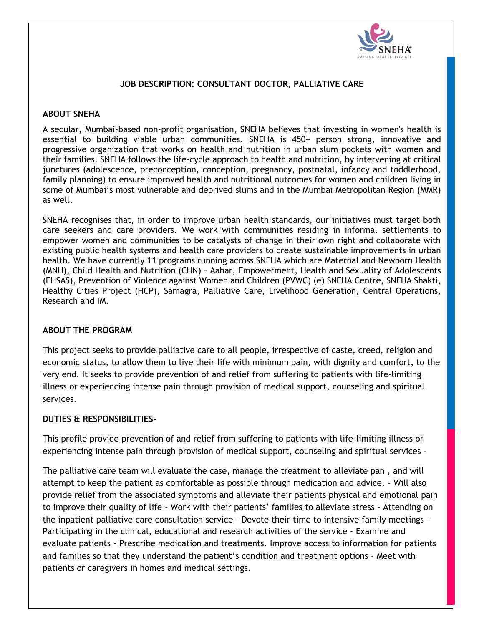

### **JOB DESCRIPTION: CONSULTANT DOCTOR, PALLIATIVE CARE**

### **ABOUT SNEHA**

A secular, Mumbai-based non-profit organisation, SNEHA believes that investing in women's health is essential to building viable urban communities. SNEHA is 450+ person strong, innovative and progressive organization that works on health and nutrition in urban slum pockets with women and their families. SNEHA follows the life-cycle approach to health and nutrition, by intervening at critical junctures (adolescence, preconception, conception, pregnancy, postnatal, infancy and toddlerhood, family planning) to ensure improved health and nutritional outcomes for women and children living in some of Mumbai's most vulnerable and deprived slums and in the Mumbai Metropolitan Region (MMR) as well.

SNEHA recognises that, in order to improve urban health standards, our initiatives must target both care seekers and care providers. We work with communities residing in informal settlements to empower women and communities to be catalysts of change in their own right and collaborate with existing public health systems and health care providers to create sustainable improvements in urban health. We have currently 11 programs running across SNEHA which are Maternal and Newborn Health (MNH), Child Health and Nutrition (CHN) – Aahar, Empowerment, Health and Sexuality of Adolescents (EHSAS), Prevention of Violence against Women and Children (PVWC) (e) SNEHA Centre, SNEHA Shakti, Healthy Cities Project (HCP), Samagra, Palliative Care, Livelihood Generation, Central Operations, Research and IM.

### **ABOUT THE PROGRAM**

This project seeks to provide palliative care to all people, irrespective of caste, creed, religion and economic status, to allow them to live their life with minimum pain, with dignity and comfort, to the very end. It seeks to provide prevention of and relief from suffering to patients with life-limiting illness or experiencing intense pain through provision of medical support, counseling and spiritual services.

### **DUTIES & RESPONSIBILITIES-**

This profile provide prevention of and relief from suffering to patients with life-limiting illness or experiencing intense pain through provision of medical support, counseling and spiritual services –

The palliative care team will evaluate the case, manage the treatment to alleviate pan , and will attempt to keep the patient as comfortable as possible through medication and advice. - Will also provide relief from the associated symptoms and alleviate their patients physical and emotional pain to improve their quality of life - Work with their patients' families to alleviate stress - Attending on the inpatient palliative care consultation service - Devote their time to intensive family meetings - Participating in the clinical, educational and research activities of the service - Examine and evaluate patients - Prescribe medication and treatments. Improve access to information for patients and families so that they understand the patient's condition and treatment options - Meet with patients or caregivers in homes and medical settings.